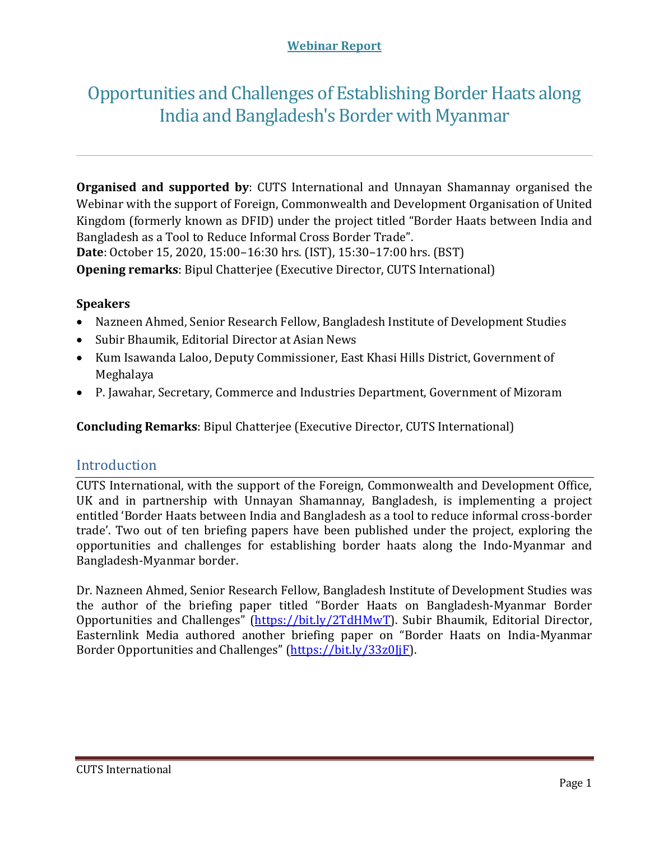#### **Webinar Report**

# Opportunities and Challenges of Establishing Border Haats along India and Bangladesh's Border with Myanmar

**Organised and supported by**: CUTS International and Unnayan Shamannay organised the Webinar with the support of Foreign, Commonwealth and Development Organisation of United Kingdom (formerly known as DFID) under the project titled "Border Haats between India and Bangladesh as a Tool to Reduce Informal Cross Border Trade". **Date**: October 15, 2020, 15:00–16:30 hrs. (IST), 15:30–17:00 hrs. (BST) **Opening remarks**: Bipul Chatterjee (Executive Director, CUTS International)

#### **Speakers**

- Nazneen Ahmed, Senior Research Fellow, Bangladesh Institute of Development Studies
- Subir Bhaumik, Editorial Director at Asian News
- Kum Isawanda Laloo, Deputy Commissioner, East Khasi Hills District, Government of Meghalaya
- P. Jawahar, Secretary, Commerce and Industries Department, Government of Mizoram

**Concluding Remarks**: Bipul Chatterjee (Executive Director, CUTS International)

#### Introduction

CUTS International, with the support of the Foreign, Commonwealth and Development Office, UK and in partnership with Unnayan Shamannay, Bangladesh, is implementing a project entitled 'Border Haats between India and Bangladesh as a tool to reduce informal cross-border trade'. Two out of ten briefing papers have been published under the project, exploring the opportunities and challenges for establishing border haats along the Indo-Myanmar and Bangladesh-Myanmar border.

Dr. Nazneen Ahmed, Senior Research Fellow, Bangladesh Institute of Development Studies was the author of the briefing paper titled "Border Haats on Bangladesh-Myanmar Border Opportunities and Challenges" [\(https://bit.ly/2TdHMwT\)](https://bit.ly/2TdHMwT). Subir Bhaumik, Editorial Director, Easternlink Media authored another briefing paper on "Border Haats on India-Myanmar Border Opportunities and Challenges" [\(https://bit.ly/33z0JjF\)](https://bit.ly/33z0JjF).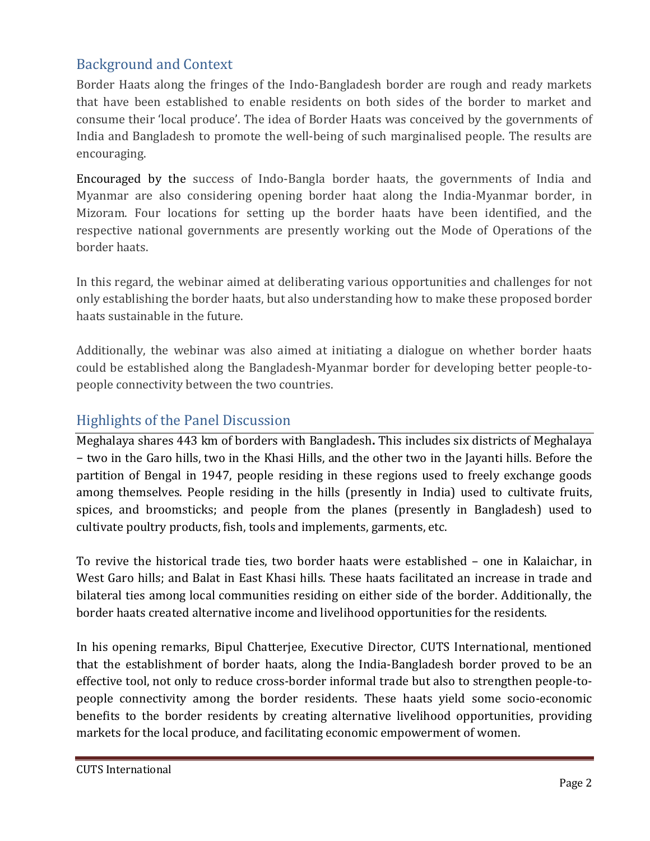## Background and Context

Border Haats along the fringes of the Indo-Bangladesh border are rough and ready markets that have been established to enable residents on both sides of the border to market and consume their 'local produce'. The idea of Border Haats was conceived by the governments of India and Bangladesh to promote the well-being of such marginalised people. The results are encouraging.

Encouraged by the success of Indo-Bangla border haats, the governments of India and Myanmar are also considering opening border haat along the India-Myanmar border, in Mizoram. Four locations for setting up the border haats have been identified, and the respective national governments are presently working out the Mode of Operations of the border haats.

In this regard, the webinar aimed at deliberating various opportunities and challenges for not only establishing the border haats, but also understanding how to make these proposed border haats sustainable in the future.

Additionally, the webinar was also aimed at initiating a dialogue on whether border haats could be established along the Bangladesh-Myanmar border for developing better people-topeople connectivity between the two countries.

## Highlights of the Panel Discussion

Meghalaya shares 443 km of borders with Bangladesh**.** This includes six districts of Meghalaya − two in the Garo hills, two in the Khasi Hills, and the other two in the Jayanti hills. Before the partition of Bengal in 1947, people residing in these regions used to freely exchange goods among themselves. People residing in the hills (presently in India) used to cultivate fruits, spices, and broomsticks; and people from the planes (presently in Bangladesh) used to cultivate poultry products, fish, tools and implements, garments, etc.

To revive the historical trade ties, two border haats were established – one in Kalaichar, in West Garo hills; and Balat in East Khasi hills. These haats facilitated an increase in trade and bilateral ties among local communities residing on either side of the border. Additionally, the border haats created alternative income and livelihood opportunities for the residents.

In his opening remarks, Bipul Chatterjee, Executive Director, CUTS International, mentioned that the establishment of border haats, along the India-Bangladesh border proved to be an effective tool, not only to reduce cross-border informal trade but also to strengthen people-topeople connectivity among the border residents. These haats yield some socio-economic benefits to the border residents by creating alternative livelihood opportunities, providing markets for the local produce, and facilitating economic empowerment of women.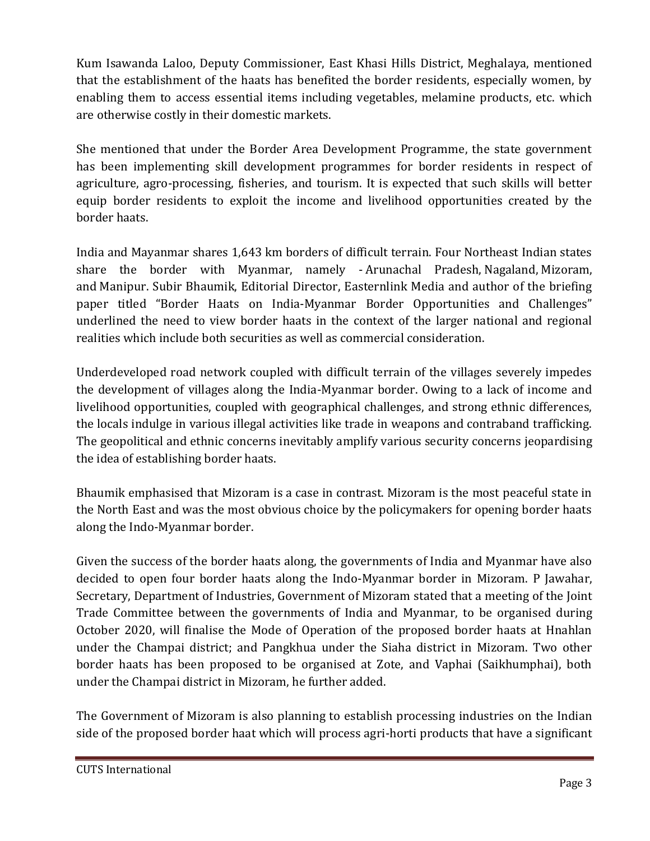Kum Isawanda Laloo, Deputy Commissioner, East Khasi Hills District, Meghalaya, mentioned that the establishment of the haats has benefited the border residents, especially women, by enabling them to access essential items including vegetables, melamine products, etc. which are otherwise costly in their domestic markets.

She mentioned that under the Border Area Development Programme, the state government has been implementing skill development programmes for border residents in respect of agriculture, agro-processing, fisheries, and tourism. It is expected that such skills will better equip border residents to exploit the income and livelihood opportunities created by the border haats.

India and Mayanmar shares 1,643 km borders of difficult terrain. Four Northeast Indian states share the border with Myanmar, namely - Arunachal Pradesh, Nagaland, Mizoram, and Manipur. Subir Bhaumik, Editorial Director, Easternlink Media and author of the briefing paper titled "Border Haats on India-Myanmar Border Opportunities and Challenges" underlined the need to view border haats in the context of the larger national and regional realities which include both securities as well as commercial consideration.

Underdeveloped road network coupled with difficult terrain of the villages severely impedes the development of villages along the India-Myanmar border. Owing to a lack of income and livelihood opportunities, coupled with geographical challenges, and strong ethnic differences, the locals indulge in various illegal activities like trade in weapons and contraband trafficking. The geopolitical and ethnic concerns inevitably amplify various security concerns jeopardising the idea of establishing border haats.

Bhaumik emphasised that Mizoram is a case in contrast. Mizoram is the most peaceful state in the North East and was the most obvious choice by the policymakers for opening border haats along the Indo-Myanmar border.

Given the success of the border haats along, the governments of India and Myanmar have also decided to open four border haats along the Indo-Myanmar border in Mizoram. P Jawahar, Secretary, Department of Industries, Government of Mizoram stated that a meeting of the Joint Trade Committee between the governments of India and Myanmar, to be organised during October 2020, will finalise the Mode of Operation of the proposed border haats at Hnahlan under the Champai district; and Pangkhua under the Siaha district in Mizoram. Two other border haats has been proposed to be organised at Zote, and Vaphai (Saikhumphai), both under the Champai district in Mizoram, he further added.

The Government of Mizoram is also planning to establish processing industries on the Indian side of the proposed border haat which will process agri-horti products that have a significant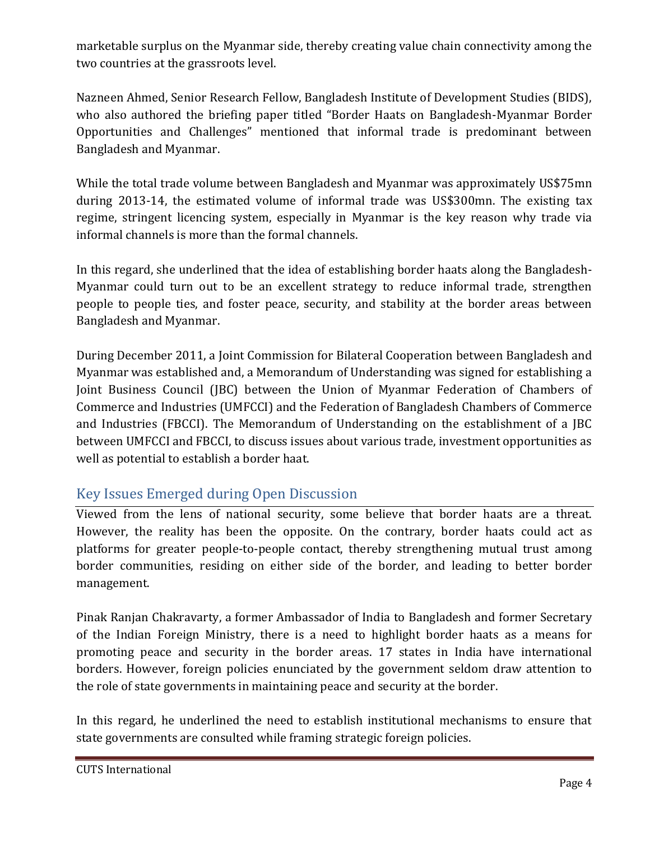marketable surplus on the Myanmar side, thereby creating value chain connectivity among the two countries at the grassroots level.

Nazneen Ahmed, Senior Research Fellow, Bangladesh Institute of Development Studies (BIDS), who also authored the briefing paper titled "Border Haats on Bangladesh-Myanmar Border Opportunities and Challenges" mentioned that informal trade is predominant between Bangladesh and Myanmar.

While the total trade volume between Bangladesh and Myanmar was approximately US\$75mn during 2013-14, the estimated volume of informal trade was US\$300mn. The existing tax regime, stringent licencing system, especially in Myanmar is the key reason why trade via informal channels is more than the formal channels.

In this regard, she underlined that the idea of establishing border haats along the Bangladesh-Myanmar could turn out to be an excellent strategy to reduce informal trade, strengthen people to people ties, and foster peace, security, and stability at the border areas between Bangladesh and Myanmar.

During December 2011, a Joint Commission for Bilateral Cooperation between Bangladesh and Myanmar was established and, a Memorandum of Understanding was signed for establishing a Joint Business Council (JBC) between the Union of Myanmar Federation of Chambers of Commerce and Industries (UMFCCI) and the Federation of Bangladesh Chambers of Commerce and Industries (FBCCI). The Memorandum of Understanding on the establishment of a JBC between UMFCCI and FBCCI, to discuss issues about various trade, investment opportunities as well as potential to establish a border haat.

## Key Issues Emerged during Open Discussion

Viewed from the lens of national security, some believe that border haats are a threat. However, the reality has been the opposite. On the contrary, border haats could act as platforms for greater people-to-people contact, thereby strengthening mutual trust among border communities, residing on either side of the border, and leading to better border management.

Pinak Ranjan Chakravarty, a former Ambassador of India to Bangladesh and former Secretary of the Indian Foreign Ministry, there is a need to highlight border haats as a means for promoting peace and security in the border areas. 17 states in India have international borders. However, foreign policies enunciated by the government seldom draw attention to the role of state governments in maintaining peace and security at the border.

In this regard, he underlined the need to establish institutional mechanisms to ensure that state governments are consulted while framing strategic foreign policies.